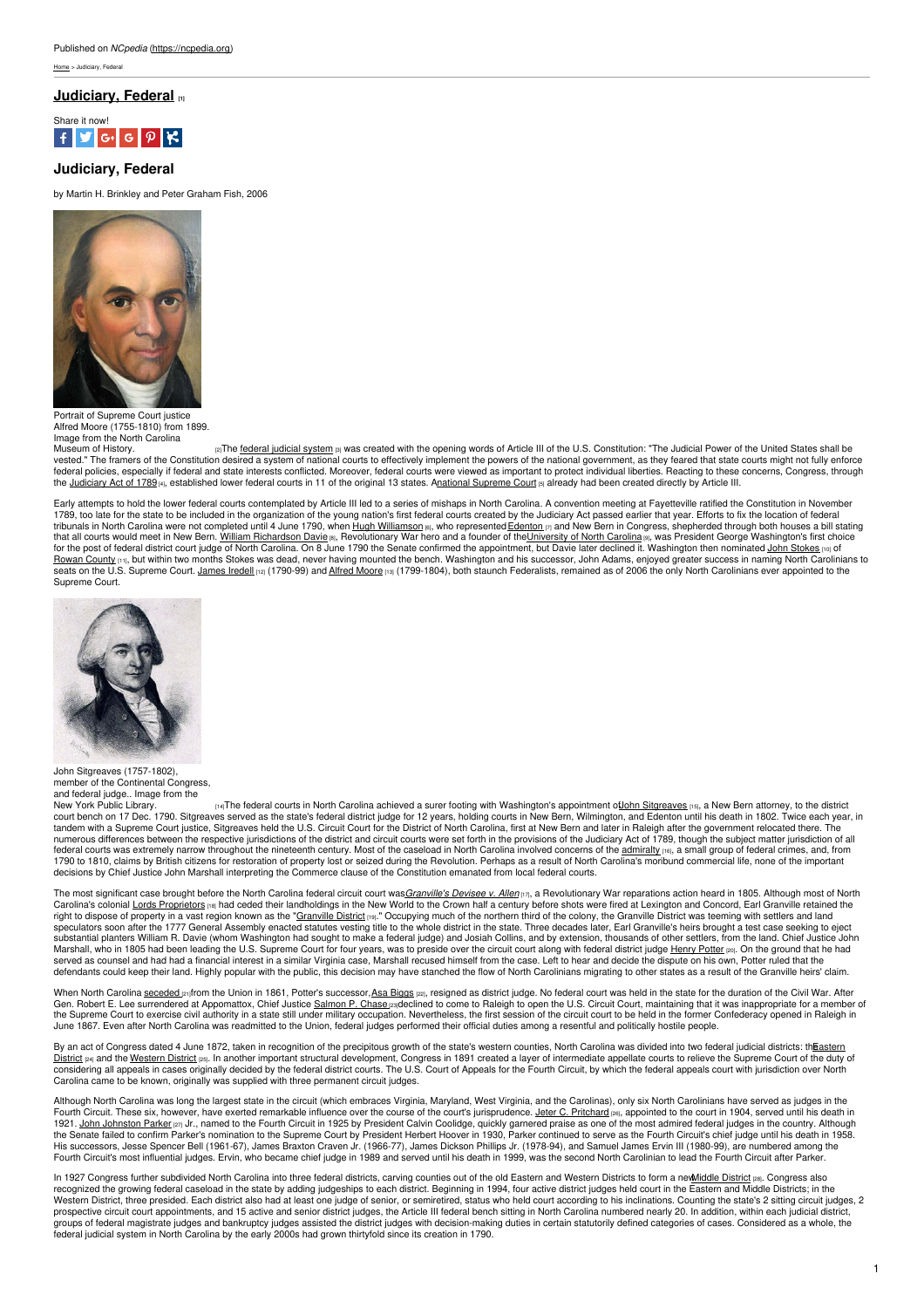ne > Judiciary, Federal

# **[Judiciary,](https://ncpedia.org/judiciary-federal) Federal [1]**



# **Judiciary, Federal**

by Martin H. Brinkley and Peter Graham Fish, 2006



Portrait of Supreme Court justice Alfred Moore (1755-1810) from 1899. Image from the North Carolina<br>Museum of History.

<sup>[2]</sup>The federal judicial [system](http://www.uscourts.gov/FederalCourts.aspx) [3] was created with the opening words of Article III of the U.S. Constitution: "The Judicial Power of the United States shall be vested." The framers of the Constitution desired a system of national courts to effectively implement the powers of the national government, as they feared that state courts might not fully enforce<br>federal policies, especi the [Judiciary](http://www.loc.gov/rr/program/bib/ourdocs/judiciary.html) Act of 1789 [4], established lower federal courts in 11 of the original 13 states. Anational [Supreme](http://www.supremecourt.gov/) Court [5] already had been created directly by Article III.

Early attempts to hold the lower federal courts contemplated by Article III led to a series of mishaps in North Carolina. A convention meeting at Fayetteville ratified the Constitution in November 1789, too late for the state to be included in the organization of the young nation's first federal courts created by the Judiciary Act passed earlier that year. Efforts to fix the location of federal contered in the orga for the post of federal district court judge of North Carolina. On 8 June 1790 the Senate confirmed the appointment, but Davie later declined it. Washington then nominated <u>John [Stokes](https://ncpedia.org/biography/stokes-john) por</u> of<br><u>[Rowan](https://ncpedia.org/geography/rowan) County ma</u>, but within seats on the U.S. Supreme Court. [James](https://ncpedia.org/biography/iredell-james-sr) Iredell [12] (1790-99) and Alfred [Moore](https://ncpedia.org/biography/moore-alfred) [13] (1799-1804), both staunch Federalists, remained as of 2006 the only North Carolinians ever appointed to the Supreme Court.



John Sitgreaves (1757-1802). member of the Continental Congress and federal judge.. Image from the

New York Public [Library.](http://digitalcollections.nypl.org/items/510d47da-3113-a3d9-e040-e00a18064a99) Proposing the federal courts in North Carolina achieved a surer footing with Washington's appointment o<u>flohn [Sitgreaves](http://www.fjc.gov/servlet/nGetInfo?jid=2201&cid=999&ctype=na&instate=na) [65],</u> a New Bern attorney, to the district inder federal court beach years, tandem with a Supreme Court justice, Sitgreaves held the U.S. Circuit Court for the District of North Carolina, first at New Bern and later in Raleigh after the government relocated there. The numerous differences between the respective jurisdictions of the district and circuit courts were set forth in the provisions of the Judiciary Act of 1789, though the subject matter jurisdiction of all<br>federal courts was e 1790 to 1810, claims by British citizens for restoration of property lost or seized during the Revolution. Perhaps as a result of North Carolina's moribund commercial life, none of the important<br>decisions by Chief Justice

The most significant case brought before the North Carolina federal circuit court was *[Granville's](https://ncpedia.org/granvilles-devisee-v-allen) Devisee v. Allen* [17], a Revolutionary War reparations action heard in 1805. Although most of North Carolina's colonial <u>Lords [Proprietors](https://ncpedia.org/lords-proprietors)</u> <sub>l'</sub>a had ceded their landholdings in the New World to the Crown half a century before shots were fired at Lexington and Concord, Earl Granville retained the<br>right to dispose of pro speculators soon after the 1777 General Assembly enacted statutes vesting title to the whole district in the state. Three decades later, Earl Granville's heirs brought a test case seeking to eject<br>substantial planters Will Marshall, who in 1805 had been leading the U.S. Supreme Court for four years, was to preside over the circuit court along with federal district judge [Henry](https://ncpedia.org/biography/potter-henry) Potter [20]. On the ground that he had served as counsel and had had a financial interest in a similar Virginia case, Marshall recused himself from the case. Left to hear and decide the dispute on his own, Potter ruled that the<br>defendants could keep their land.

When North Carolina <u>[seceded](https://ncpedia.org/history/cw-1900/secession) pa</u>from the Union in 1861, Potter's successor,<u>Asa [Biggs](https://ncpedia.org/biography/biggs-asa)</u> pa, resigned as district judge. No federal court was held in the state for the duration of the Civil War. After<br>Gen. Robert E. Lee sur June 1867. Even after North Carolina was readmitted to the Union, federal judges performed their official duties among a resentful and politically hostile people.

By an act of Congress dated 4 June 1872, taken in recognition of the precipitous growth of the state's western counties, North Carolina was divided into two federal judicial districts: thEastern <u>District թ</u>4 and the <u>[Western](http://www.ncwd.uscourts.gov/) District</u> թ5. In another important structural [development,](http://www.nced.uscourts.gov) Congress in 1891 created a layer of intermediate appellate courts to relieve the Supreme Court of the duty of<br>considering all appea Carolina came to be known, originally was supplied with three permanent circuit judges.

Although North Carolina was long the largest state in the circuit (which embraces Virginia, Alvaryland, West Virginia, and the Carolinas), only six North Carolinians have served as judges in the<br>Fourth Circuit. These six, 1921. <u>John [Johnston](https://ncpedia.org/biography/parker-john-johnston) Parker pau Jr., named to the Fourth Circuit in 1925 by President Calvin Coolidge, quickly garnered praise as one of the most admired federal judges in the country. Although<br>the Senate failed to confirm</u> His successors, Jesse Spencer Bell (1961-67), James Braxton Craven Jr. (1966-77), James Dickson Phillips Jr. (1978-94), and Samuel James Ervin III (1980-99), are numbered among the Fourth Circuit's most influential judges. Ervin, who became chief judge in 1989 and served until his death in 1999, was the second North Carolinian to lead the Fourth Circuit after Parker.

In 1927 Congress further subdivided North Carolina into three federal districts, carving counties out of the old Eastern and Western Districts to form a new iddle District [28]. Congress also recognized the growing federal caseload in the state by adding judgeships to each district. Beginning in 1994, four active district judges held court in the Eastern and Middle Districts; in the Western District, three presided. Each district also had at least one judge of senior, or semiretired, status who held court according to his inclinations. Counting the state's 2 sitting circuit judges, 2<br>prospective circu groups of federal magistrate judges and bankruptcy judges assisted the district judges with decision-making duties in certain statutorily defined categories of cases. Considered as a whole, the<br>federal judicial system in N